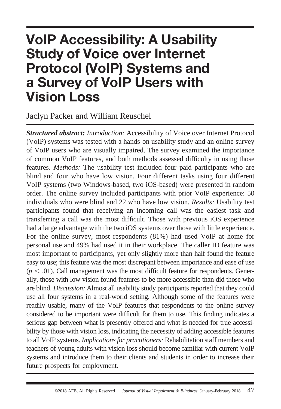# **VoIP Accessibility: A Usability Study of Voice over Internet Protocol (VoIP) Systems and a Survey of VoIP Users with Vision Loss**

Jaclyn Packer and William Reuschel

*Structured abstract: Introduction:* Accessibility of Voice over Internet Protocol (VoIP) systems was tested with a hands-on usability study and an online survey of VoIP users who are visually impaired. The survey examined the importance of common VoIP features, and both methods assessed difficulty in using those features. *Methods:* The usability test included four paid participants who are blind and four who have low vision. Four different tasks using four different VoIP systems (two Windows-based, two iOS-based) were presented in random order. The online survey included participants with prior VoIP experience: 50 individuals who were blind and 22 who have low vision. *Results:* Usability test participants found that receiving an incoming call was the easiest task and transferring a call was the most difficult. Those with previous iOS experience had a large advantage with the two iOS systems over those with little experience. For the online survey, most respondents (81%) had used VoIP at home for personal use and 49% had used it in their workplace. The caller ID feature was most important to participants, yet only slightly more than half found the feature easy to use; this feature was the most discrepant between importance and ease of use  $(p < .01)$ . Call management was the most difficult feature for respondents. Generally, those with low vision found features to be more accessible than did those who are blind. *Discussion:* Almost all usability study participants reported that they could use all four systems in a real-world setting. Although some of the features were readily usable, many of the VoIP features that respondents to the online survey considered to be important were difficult for them to use. This finding indicates a serious gap between what is presently offered and what is needed for true accessibility by those with vision loss, indicating the necessity of adding accessible features to all VoIP systems. *Implications for practitioners:* Rehabilitation staff members and teachers of young adults with vision loss should become familiar with current VoIP systems and introduce them to their clients and students in order to increase their future prospects for employment.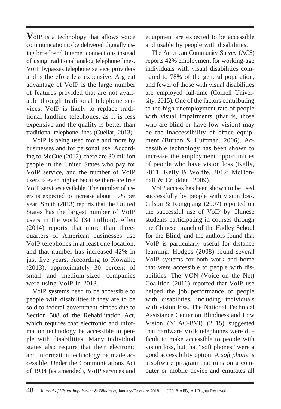**V**oIP is a technology that allows voice communication to be delivered digitally using broadband Internet connections instead of using traditional analog telephone lines. VoIP bypasses telephone service providers and is therefore less expensive. A great advantage of VoIP is the large number of features provided that are not available through traditional telephone services. VoIP is likely to replace traditional landline telephones, as it is less expensive and the quality is better than traditional telephone lines (Cuellar, 2013).

VoIP is being used more and more by businesses and for personal use. According to McCue (2012), there are 30 million people in the United States who pay for VoIP service, and the number of VoIP users is even higher because there are free VoIP services available. The number of users is expected to increase about 15% per year. Smith (2013) reports that the United States has the largest number of VoIP users in the world (34 million). Allen (2014) reports that more than threequarters of American businesses use VoIP telephones in at least one location, and that number has increased 42% in just five years. According to Kowalke (2013), approximately 30 percent of small and medium-sized companies were using VoIP in 2013.

VoIP systems need to be accessible to people with disabilities if they are to be sold to federal government offices due to Section 508 of the Rehabilitation Act, which requires that electronic and information technology be accessible to people with disabilities. Many individual states also require that their electronic and information technology be made accessible. Under the Communications Act of 1934 (as amended), VoIP services and

equipment are expected to be accessible and usable by people with disabilities.

The American Community Survey (ACS) reports 42% employment for working-age individuals with visual disabilities compared to 78% of the general population, and fewer of those with visual disabilities are employed full-time (Cornell University, 2015). One of the factors contributing to the high unemployment rate of people with visual impairments (that is, those who are blind or have low vision) may be the inaccessibility of office equipment (Burton & Huffman, 2006). Accessible technology has been shown to increase the employment opportunities of people who have vision loss (Kelly, 2011; Kelly & Wolffe, 2012; McDonnall & Crudden, 2009).

VoIP access has been shown to be used successfully by people with vision loss. Gilson & Rongqiang (2007) reported on the successful use of VoIP by Chinese students participating in courses through the Chinese branch of the Hadley School for the Blind, and the authors found that VoIP is particularly useful for distance learning. Hodges (2008) found several VoIP systems for both work and home that were accessible to people with disabilities. The VON (Voice on the Net) Coalition (2016) reported that VoIP use helped the job performance of people with disabilities, including individuals with vision loss. The National Technical Assistance Center on Blindness and Low Vision (NTAC-BVI) (2015) suggested that hardware VoIP telephones were difficult to make accessible to people with vision loss, but that "soft phones" were a good accessibility option. A *soft phone* is a software program that runs on a computer or mobile device and emulates all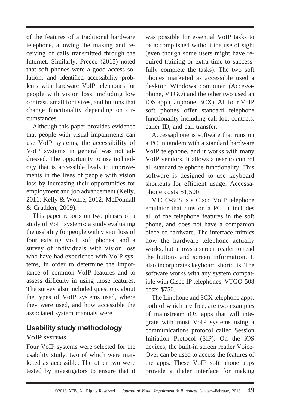of the features of a traditional hardware telephone, allowing the making and receiving of calls transmitted through the Internet. Similarly, Preece (2015) noted that soft phones were a good access solution, and identified accessibility problems with hardware VoIP telephones for people with vision loss, including low contrast, small font sizes, and buttons that change functionality depending on circumstances.

Although this paper provides evidence that people with visual impairments can use VoIP systems, the accessibility of VoIP systems in general was not addressed. The opportunity to use technology that is accessible leads to improvements in the lives of people with vision loss by increasing their opportunities for employment and job advancement (Kelly, 2011; Kelly & Wolffe, 2012; McDonnall & Crudden, 2009).

This paper reports on two phases of a study of VoIP systems: a study evaluating the usability for people with vision loss of four existing VoIP soft phones; and a survey of individuals with vision loss who have had experience with VoIP systems, in order to determine the importance of common VoIP features and to assess difficulty in using those features. The survey also included questions about the types of VoIP systems used, where they were used, and how accessible the associated system manuals were.

# **Usability study methodology VOIP SYSTEMS**

Four VoIP systems were selected for the usability study, two of which were marketed as accessible. The other two were tested by investigators to ensure that it

was possible for essential VoIP tasks to be accomplished without the use of sight (even though some users might have required training or extra time to successfully complete the tasks). The two soft phones marketed as accessible used a desktop Windows computer (Accessaphone, VTGO) and the other two used an iOS app (Linphone, 3CX). All four VoIP soft phones offer standard telephone functionality including call log, contacts, caller ID, and call transfer.

Accessaphone is software that runs on a PC in tandem with a standard hardware VoIP telephone, and it works with many VoIP vendors. It allows a user to control all standard telephone functionality. This software is designed to use keyboard shortcuts for efficient usage. Accessaphone costs \$1,500.

VTGO-508 is a Cisco VoIP telephone emulator that runs on a PC. It includes all of the telephone features in the soft phone, and does not have a companion piece of hardware. The interface mimics how the hardware telephone actually works, but allows a screen reader to read the buttons and screen information. It also incorporates keyboard shortcuts. The software works with any system compatible with Cisco IP telephones. VTGO-508 costs \$750.

The Linphone and 3CX telephone apps, both of which are free, are two examples of mainstream iOS apps that will integrate with most VoIP systems using a communications protocol called Session Initiation Protocol (SIP). On the iOS devices, the built-in screen reader Voice-Over can be used to access the features of the apps. These VoIP soft phone apps provide a dialer interface for making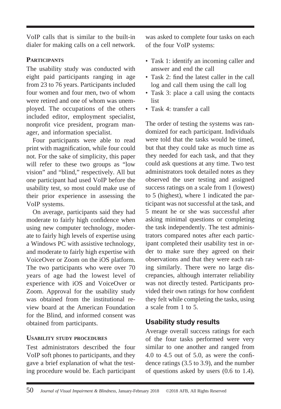VoIP calls that is similar to the built-in dialer for making calls on a cell network.

## **PARTICIPANTS**

The usability study was conducted with eight paid participants ranging in age from 23 to 76 years. Participants included four women and four men, two of whom were retired and one of whom was unemployed. The occupations of the others included editor, employment specialist, nonprofit vice president, program manager, and information specialist.

Four participants were able to read print with magnification, while four could not. For the sake of simplicity, this paper will refer to these two groups as "low vision" and "blind," respectively. All but one participant had used VoIP before the usability test, so most could make use of their prior experience in assessing the VoIP systems.

On average, participants said they had moderate to fairly high confidence when using new computer technology, moderate to fairly high levels of expertise using a Windows PC with assistive technology, and moderate to fairly high expertise with VoiceOver or Zoom on the iOS platform. The two participants who were over 70 years of age had the lowest level of experience with iOS and VoiceOver or Zoom. Approval for the usability study was obtained from the institutional review board at the American Foundation for the Blind, and informed consent was obtained from participants.

## **USABILITY STUDY PROCEDURES**

Test administrators described the four VoIP soft phones to participants, and they gave a brief explanation of what the testing procedure would be. Each participant was asked to complete four tasks on each of the four VoIP systems:

- Task 1: identify an incoming caller and answer and end the call
- Task 2: find the latest caller in the call log and call them using the call log
- Task 3: place a call using the contacts list
- Task 4: transfer a call

The order of testing the systems was randomized for each participant. Individuals were told that the tasks would be timed, but that they could take as much time as they needed for each task, and that they could ask questions at any time. Two test administrators took detailed notes as they observed the user testing and assigned success ratings on a scale from 1 (lowest) to 5 (highest), where 1 indicated the participant was not successful at the task, and 5 meant he or she was successful after asking minimal questions or completing the task independently. The test administrators compared notes after each participant completed their usability test in order to make sure they agreed on their observations and that they were each rating similarly. There were no large discrepancies, although interrater reliability was not directly tested. Participants provided their own ratings for how confident they felt while completing the tasks, using a scale from 1 to 5.

# **Usability study results**

Average overall success ratings for each of the four tasks performed were very similar to one another and ranged from 4.0 to 4.5 out of 5.0, as were the confidence ratings (3.5 to 3.9), and the number of questions asked by users (0.6 to 1.4).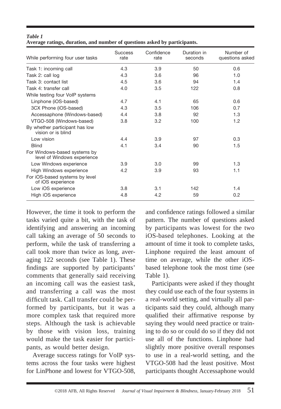*Table 1* **Average ratings, duration, and number of questions asked by participants.**

| While performing four user tasks                            | <b>Success</b><br>rate | Confidence<br>rate | Duration in<br>seconds | Number of<br>questions asked |
|-------------------------------------------------------------|------------------------|--------------------|------------------------|------------------------------|
| Task 1: incoming call                                       | 4.3                    | 3.9                | 50                     | 0.6                          |
| Task 2: call log                                            | 4.3                    | 3.6                | 96                     | 1.0                          |
| Task 3: contact list                                        | 4.5                    | 3.6                | 94                     | 1.4                          |
| Task 4: transfer call                                       | 4.0                    | 3.5                | 122                    | 0.8                          |
| While testing four VoIP systems                             |                        |                    |                        |                              |
| Linphone (iOS-based)                                        | 4.7                    | 4.1                | 65                     | 0.6                          |
| 3CX Phone (iOS-based)                                       | 4.3                    | 3.5                | 106                    | 0.7                          |
| Accessaphone (Windows-based)                                | 4.4                    | 3.8                | 92                     | 1.3                          |
| VTGO-508 (Windows-based)                                    | 3.8                    | 3.2                | 100                    | 1.2                          |
| By whether participant has low<br>vision or is blind        |                        |                    |                        |                              |
| Low vision                                                  | 4.4                    | 3.9                | 97                     | 0.3                          |
| <b>Blind</b>                                                | 4.1                    | 3.4                | 90                     | 1.5                          |
| For Windows-based systems by<br>level of Windows experience |                        |                    |                        |                              |
| Low Windows experience                                      | 3.9                    | 3.0                | 99                     | 1.3                          |
| High Windows experience                                     | 4.2                    | 3.9                | 93                     | 1.1                          |
| For iOS-based systems by level<br>of iOS experience         |                        |                    |                        |                              |
| Low iOS experience                                          | 3.8                    | 3.1                | 142                    | 1.4                          |
| High iOS experience                                         | 4.8                    | 4.2                | 59                     | 0.2                          |

However, the time it took to perform the tasks varied quite a bit, with the task of identifying and answering an incoming call taking an average of 50 seconds to perform, while the task of transferring a call took more than twice as long, averaging 122 seconds (see Table 1). These findings are supported by participants' comments that generally said receiving an incoming call was the easiest task, and transferring a call was the most difficult task. Call transfer could be performed by participants, but it was a more complex task that required more steps. Although the task is achievable by those with vision loss, training would make the task easier for participants, as would better design.

Average success ratings for VoIP systems across the four tasks were highest for LinPhone and lowest for VTGO-508,

and confidence ratings followed a similar pattern. The number of questions asked by participants was lowest for the two iOS-based telephones. Looking at the amount of time it took to complete tasks, Linphone required the least amount of time on average, while the other iOSbased telephone took the most time (see Table 1).

Participants were asked if they thought they could use each of the four systems in a real-world setting, and virtually all participants said they could, although many qualified their affirmative response by saying they would need practice or training to do so or could do so if they did not use all of the functions. Linphone had slightly more positive overall responses to use in a real-world setting, and the VTGO-508 had the least positive. Most participants thought Accessaphone would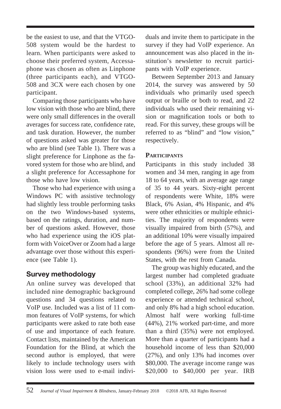be the easiest to use, and that the VTGO-508 system would be the hardest to learn. When participants were asked to choose their preferred system, Accessaphone was chosen as often as Linphone (three participants each), and VTGO-508 and 3CX were each chosen by one participant.

Comparing those participants who have low vision with those who are blind, there were only small differences in the overall averages for success rate, confidence rate, and task duration. However, the number of questions asked was greater for those who are blind (see Table 1). There was a slight preference for Linphone as the favored system for those who are blind, and a slight preference for Accessaphone for those who have low vision.

Those who had experience with using a Windows PC with assistive technology had slightly less trouble performing tasks on the two Windows-based systems, based on the ratings, duration, and number of questions asked. However, those who had experience using the iOS platform with VoiceOver or Zoom had a large advantage over those without this experience (see Table 1).

# **Survey methodology**

An online survey was developed that included nine demographic background questions and 34 questions related to VoIP use. Included was a list of 11 common features of VoIP systems, for which participants were asked to rate both ease of use and importance of each feature. Contact lists, maintained by the American Foundation for the Blind, at which the second author is employed, that were likely to include technology users with vision loss were used to e-mail individuals and invite them to participate in the survey if they had VoIP experience. An announcement was also placed in the institution's newsletter to recruit participants with VoIP experience.

Between September 2013 and January 2014, the survey was answered by 50 individuals who primarily used speech output or braille or both to read, and 22 individuals who used their remaining vision or magnification tools or both to read. For this survey, these groups will be referred to as "blind" and "low vision," respectively.

### **PARTICIPANTS**

Participants in this study included 38 women and 34 men, ranging in age from 18 to 64 years, with an average age range of 35 to 44 years. Sixty-eight percent of respondents were White, 18% were Black, 6% Asian, 4% Hispanic, and 4% were other ethnicities or multiple ethnicities. The majority of respondents were visually impaired from birth (57%), and an additional 10% were visually impaired before the age of 5 years. Almost all respondents (96%) were from the United States, with the rest from Canada.

The group was highly educated, and the largest number had completed graduate school (33%), an additional 32% had completed college, 26% had some college experience or attended technical school, and only 8% had a high school education. Almost half were working full-time (44%), 21% worked part-time, and more than a third (35%) were not employed. More than a quarter of participants had a household income of less than \$20,000 (27%), and only 13% had incomes over \$80,000. The average income range was \$20,000 to \$40,000 per year. IRB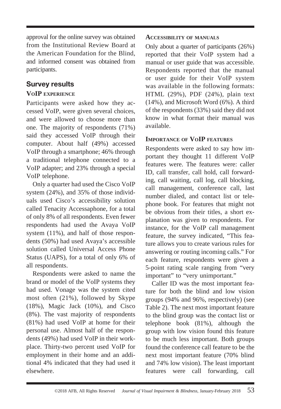approval for the online survey was obtained from the Institutional Review Board at the American Foundation for the Blind, and informed consent was obtained from participants.

## **Survey results**

### **VOIP EXPERIENCE**

Participants were asked how they accessed VoIP, were given several choices, and were allowed to choose more than one. The majority of respondents (71%) said they accessed VoIP through their computer. About half (49%) accessed VoIP through a smartphone; 46% through a traditional telephone connected to a VoIP adapter; and 23% through a special VoIP telephone.

Only a quarter had used the Cisco VoIP system (24%), and 35% of those individuals used Cisco's accessibility solution called Tenacity Accessaphone, for a total of only 8% of all respondents. Even fewer respondents had used the Avaya VoIP system (11%), and half of those respondents (50%) had used Avaya's accessible solution called Universal Access Phone Status (UAPS), for a total of only 6% of all respondents.

Respondents were asked to name the brand or model of the VoIP systems they had used. Vonage was the system cited most often (21%), followed by Skype (18%), Magic Jack (10%), and Cisco (8%). The vast majority of respondents (81%) had used VoIP at home for their personal use. Almost half of the respondents (49%) had used VoIP in their workplace. Thirty-two percent used VoIP for employment in their home and an additional 4% indicated that they had used it elsewhere.

#### **ACCESSIBILITY OF MANUALS**

Only about a quarter of participants (26%) reported that their VoIP system had a manual or user guide that was accessible. Respondents reported that the manual or user guide for their VoIP system was available in the following formats: HTML (29%), PDF (24%), plain text (14%), and Microsoft Word (6%). A third of the respondents (33%) said they did not know in what format their manual was available.

#### **IMPORTANCE OF VOIP FEATURES**

Respondents were asked to say how important they thought 11 different VoIP features were. The features were: caller ID, call transfer, call hold, call forwarding, call waiting, call log, call blocking, call management, conference call, last number dialed, and contact list or telephone book. For features that might not be obvious from their titles, a short explanation was given to respondents. For instance, for the VoIP call management feature, the survey indicated, "This feature allows you to create various rules for answering or routing incoming calls." For each feature, respondents were given a 5-point rating scale ranging from "very important" to "very unimportant."

Caller ID was the most important feature for both the blind and low vision groups (94% and 96%, respectively) (see Table 2). The next most important feature to the blind group was the contact list or telephone book (81%), although the group with low vision found this feature to be much less important. Both groups found the conference call feature to be the next most important feature (70% blind and 74% low vision). The least important features were call forwarding, call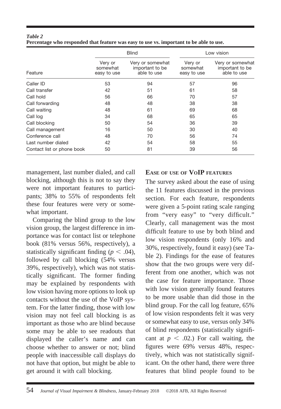|                            |                                    | <b>Blind</b>                                       | Low vision                         |                                                    |
|----------------------------|------------------------------------|----------------------------------------------------|------------------------------------|----------------------------------------------------|
| Feature                    | Very or<br>somewhat<br>easy to use | Very or somewhat<br>important to be<br>able to use | Very or<br>somewhat<br>easy to use | Very or somewhat<br>important to be<br>able to use |
| Caller ID                  | 53                                 | 94                                                 | 57                                 | 96                                                 |
| Call transfer              | 42                                 | 51                                                 | 61                                 | 58                                                 |
| Call hold                  | 56                                 | 66                                                 | 70                                 | 57                                                 |
| Call forwarding            | 48                                 | 48                                                 | 38                                 | 38                                                 |
| Call waiting               | 48                                 | 61                                                 | 69                                 | 68                                                 |
| Call log                   | 34                                 | 68                                                 | 65                                 | 65                                                 |
| Call blocking              | 50                                 | 54                                                 | 36                                 | 39                                                 |
| Call management            | 16                                 | 50                                                 | 30                                 | 40                                                 |
| Conference call            | 48                                 | 70                                                 | 56                                 | 74                                                 |
| Last number dialed         | 42                                 | 54                                                 | 58                                 | 55                                                 |
| Contact list or phone book | 50                                 | 81                                                 | 39                                 | 56                                                 |

*Table 2* **Percentage who responded that feature was easy to use vs. important to be able to use.**

management, last number dialed, and call blocking, although this is not to say they were not important features to participants; 38% to 55% of respondents felt these four features were very or somewhat important.

Comparing the blind group to the low vision group, the largest difference in importance was for contact list or telephone book (81% versus 56%, respectively), a statistically significant finding ( $p < .04$ ), followed by call blocking (54% versus 39%, respectively), which was not statistically significant. The former finding may be explained by respondents with low vision having more options to look up contacts without the use of the VoIP system. For the latter finding, those with low vision may not feel call blocking is as important as those who are blind because some may be able to see readouts that displayed the caller's name and can choose whether to answer or not; blind people with inaccessible call displays do not have that option, but might be able to get around it with call blocking.

#### **EASE OF USE OF VOIP FEATURES**

The survey asked about the ease of using the 11 features discussed in the previous section. For each feature, respondents were given a 5-point rating scale ranging from "very easy" to "very difficult." Clearly, call management was the most difficult feature to use by both blind and low vision respondents (only 16% and 30%, respectively, found it easy) (see Table 2). Findings for the ease of features show that the two groups were very different from one another, which was not the case for feature importance. Those with low vision generally found features to be more usable than did those in the blind group. For the call log feature, 65% of low vision respondents felt it was very or somewhat easy to use, versus only 34% of blind respondents (statistically significant at  $p < .02$ .) For call waiting, the figures were 69% versus 48%, respectively, which was not statistically significant. On the other hand, there were three features that blind people found to be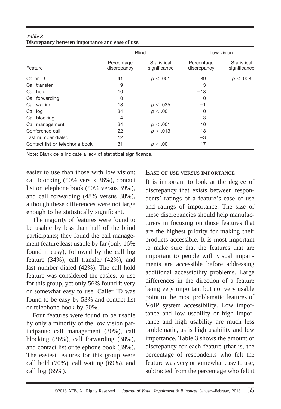#### *Table 3* **Discrepancy between importance and ease of use.**

|                                |                           | <b>Blind</b>                | Low vision                |                             |
|--------------------------------|---------------------------|-----------------------------|---------------------------|-----------------------------|
| Feature                        | Percentage<br>discrepancy | Statistical<br>significance | Percentage<br>discrepancy | Statistical<br>significance |
| Caller ID                      | 41                        | p < .001                    | 39                        | p < .008                    |
| Call transfer                  | 9                         |                             | $-3$                      |                             |
| Call hold                      | 10                        |                             | $-13$                     |                             |
| Call forwarding                | 0                         |                             | 0                         |                             |
| Call waiting                   | 13                        | p < .035                    | $-1$                      |                             |
| Call log                       | 34                        | p < .001                    | 0                         |                             |
| Call blocking                  | 4                         |                             | 3                         |                             |
| Call management                | 34                        | p < .001                    | 10                        |                             |
| Conference call                | 22                        | p < .013                    | 18                        |                             |
| Last number dialed             | 12                        |                             | -3                        |                             |
| Contact list or telephone book | 31                        | p < .001                    | 17                        |                             |

Note: Blank cells indicate a lack of statistical significance.

easier to use than those with low vision: call blocking (50% versus 36%), contact list or telephone book (50% versus 39%), and call forwarding (48% versus 38%), although these differences were not large enough to be statistically significant.

The majority of features were found to be usable by less than half of the blind participants; they found the call management feature least usable by far (only 16% found it easy), followed by the call log feature (34%), call transfer (42%), and last number dialed (42%). The call hold feature was considered the easiest to use for this group, yet only 56% found it very or somewhat easy to use. Caller ID was found to be easy by 53% and contact list or telephone book by 50%.

Four features were found to be usable by only a minority of the low vision participants: call management (30%), call blocking (36%), call forwarding (38%), and contact list or telephone book (39%). The easiest features for this group were call hold (70%), call waiting (69%), and call log (65%).

#### **EASE OF USE VERSUS IMPORTANCE**

It is important to look at the degree of discrepancy that exists between respondents' ratings of a feature's ease of use and ratings of importance. The size of these discrepancies should help manufacturers in focusing on those features that are the highest priority for making their products accessible. It is most important to make sure that the features that are important to people with visual impairments are accessible before addressing additional accessibility problems. Large differences in the direction of a feature being very important but not very usable point to the most problematic features of VoIP system accessibility. Low importance and low usability or high importance and high usability are much less problematic, as is high usability and low importance. Table 3 shows the amount of discrepancy for each feature (that is, the percentage of respondents who felt the feature was very or somewhat easy to use, subtracted from the percentage who felt it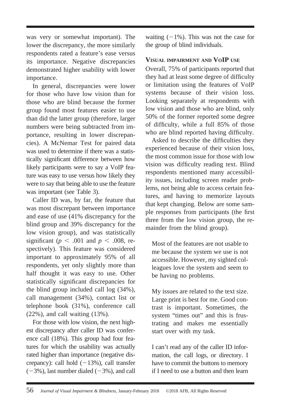was very or somewhat important). The lower the discrepancy, the more similarly respondents rated a feature's ease versus its importance. Negative discrepancies demonstrated higher usability with lower importance.

In general, discrepancies were lower for those who have low vision than for those who are blind because the former group found most features easier to use than did the latter group (therefore, larger numbers were being subtracted from importance, resulting in lower discrepancies). A McNemar Test for paired data was used to determine if there was a statistically significant difference between how likely participants were to say a VoIP feature was easy to use versus how likely they were to say that being able to use the feature was important (see Table 3).

Caller ID was, by far, the feature that was most discrepant between importance and ease of use (41% discrepancy for the blind group and 39% discrepancy for the low vision group), and was statistically significant ( $p < .001$  and  $p < .008$ , respectively). This feature was considered important to approximately 95% of all respondents, yet only slightly more than half thought it was easy to use. Other statistically significant discrepancies for the blind group included call log (34%), call management (34%), contact list or telephone book (31%), conference call (22%), and call waiting (13%).

For those with low vision, the next highest discrepancy after caller ID was conference call (18%). This group had four features for which the usability was actually rated higher than importance (negative discrepancy): call hold  $(-13%)$ , call transfer  $(-3%)$ , last number dialed  $(-3%)$ , and call

waiting  $(-1\%)$ . This was not the case for the group of blind individuals.

#### **VISUAL IMPAIRMENT AND VOIP USE**

Overall, 75% of participants reported that they had at least some degree of difficulty or limitation using the features of VoIP systems because of their vision loss. Looking separately at respondents with low vision and those who are blind, only 50% of the former reported some degree of difficulty, while a full 85% of those who are blind reported having difficulty.

Asked to describe the difficulties they experienced because of their vision loss, the most common issue for those with low vision was difficulty reading text. Blind respondents mentioned many accessibility issues, including screen reader problems, not being able to access certain features, and having to memorize layouts that kept changing. Below are some sample responses from participants (the first three from the low vision group, the remainder from the blind group).

Most of the features are not usable to me because the system we use is not accessible. However, my sighted colleagues love the system and seem to be having no problems.

My issues are related to the text size. Large print is best for me. Good contrast is important. Sometimes, the system "times out" and this is frustrating and makes me essentially start over with my task.

I can't read any of the caller ID information, the call logs, or directory. I have to commit the buttons to memory if I need to use a button and then learn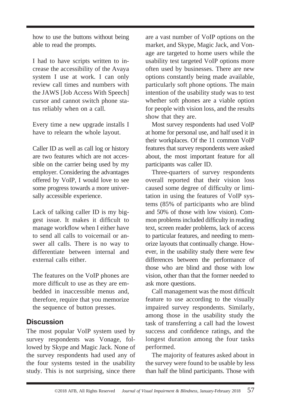how to use the buttons without being able to read the prompts.

I had to have scripts written to increase the accessibility of the Avaya system I use at work. I can only review call times and numbers with the JAWS [Job Access With Speech] cursor and cannot switch phone status reliably when on a call.

Every time a new upgrade installs I have to relearn the whole layout.

Caller ID as well as call log or history are two features which are not accessible on the carrier being used by my employer. Considering the advantages offered by VoIP, I would love to see some progress towards a more universally accessible experience.

Lack of talking caller ID is my biggest issue. It makes it difficult to manage workflow when I either have to send all calls to voicemail or answer all calls. There is no way to differentiate between internal and external calls either.

The features on the VoIP phones are more difficult to use as they are embedded in inaccessible menus and, therefore, require that you memorize the sequence of button presses.

## **Discussion**

The most popular VoIP system used by survey respondents was Vonage, followed by Skype and Magic Jack. None of the survey respondents had used any of the four systems tested in the usability study. This is not surprising, since there

are a vast number of VoIP options on the market, and Skype, Magic Jack, and Vonage are targeted to home users while the usability test targeted VoIP options more often used by businesses. There are new options constantly being made available, particularly soft phone options. The main intention of the usability study was to test whether soft phones are a viable option for people with vision loss, and the results show that they are.

Most survey respondents had used VoIP at home for personal use, and half used it in their workplaces. Of the 11 common VoIP features that survey respondents were asked about, the most important feature for all participants was caller ID.

Three-quarters of survey respondents overall reported that their vision loss caused some degree of difficulty or limitation in using the features of VoIP systems (85% of participants who are blind and 50% of those with low vision). Common problems included difficulty in reading text, screen reader problems, lack of access to particular features, and needing to memorize layouts that continually change. However, in the usability study there were few differences between the performance of those who are blind and those with low vision, other than that the former needed to ask more questions.

Call management was the most difficult feature to use according to the visually impaired survey respondents. Similarly, among those in the usability study the task of transferring a call had the lowest success and confidence ratings, and the longest duration among the four tasks performed.

The majority of features asked about in the survey were found to be usable by less than half the blind participants. Those with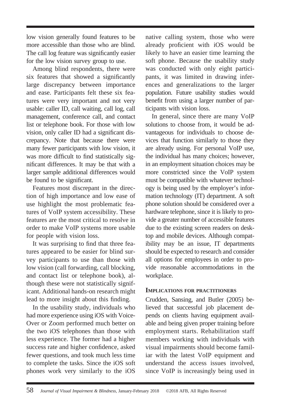low vision generally found features to be more accessible than those who are blind. The call log feature was significantly easier for the low vision survey group to use.

Among blind respondents, there were six features that showed a significantly large discrepancy between importance and ease. Participants felt these six features were very important and not very usable: caller ID, call waiting, call log, call management, conference call, and contact list or telephone book. For those with low vision, only caller ID had a significant discrepancy. Note that because there were many fewer participants with low vision, it was more difficult to find statistically significant differences. It may be that with a larger sample additional differences would be found to be significant.

Features most discrepant in the direction of high importance and low ease of use highlight the most problematic features of VoIP system accessibility. These features are the most critical to resolve in order to make VoIP systems more usable for people with vision loss.

It was surprising to find that three features appeared to be easier for blind survey participants to use than those with low vision (call forwarding, call blocking, and contact list or telephone book), although these were not statistically significant. Additional hands-on research might lead to more insight about this finding.

In the usability study, individuals who had more experience using iOS with Voice-Over or Zoom performed much better on the two iOS telephones than those with less experience. The former had a higher success rate and higher confidence, asked fewer questions, and took much less time to complete the tasks. Since the iOS soft phones work very similarly to the iOS

native calling system, those who were already proficient with iOS would be likely to have an easier time learning the soft phone. Because the usability study was conducted with only eight participants, it was limited in drawing inferences and generalizations to the larger population. Future usability studies would benefit from using a larger number of participants with vision loss.

In general, since there are many VoIP solutions to choose from, it would be advantageous for individuals to choose devices that function similarly to those they are already using. For personal VoIP use, the individual has many choices; however, in an employment situation choices may be more constricted since the VoIP system must be compatible with whatever technology is being used by the employer's information technology (IT) department. A soft phone solution should be considered over a hardware telephone, since it is likely to provide a greater number of accessible features due to the existing screen readers on desktop and mobile devices. Although compatibility may be an issue, IT departments should be expected to research and consider all options for employees in order to provide reasonable accommodations in the workplace.

#### **IMPLICATIONS FOR PRACTITIONERS**

Crudden, Sansing, and Butler (2005) believed that successful job placement depends on clients having equipment available and being given proper training before employment starts. Rehabilitation staff members working with individuals with visual impairments should become familiar with the latest VoIP equipment and understand the access issues involved, since VoIP is increasingly being used in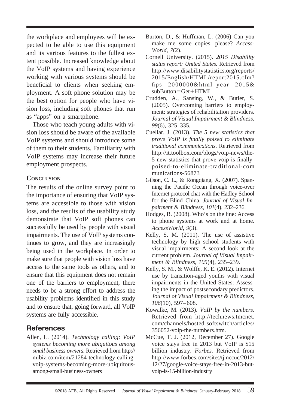the workplace and employees will be expected to be able to use this equipment and its various features to the fullest extent possible. Increased knowledge about the VoIP systems and having experience working with various systems should be beneficial to clients when seeking employment. A soft phone solution may be the best option for people who have vision loss, including soft phones that run as "apps" on a smartphone.

Those who teach young adults with vision loss should be aware of the available VoIP systems and should introduce some of them to their students. Familiarity with VoIP systems may increase their future employment prospects.

#### **CONCLUSION**

The results of the online survey point to the importance of ensuring that VoIP systems are accessible to those with vision loss, and the results of the usability study demonstrate that VoIP soft phones can successfully be used by people with visual impairments. The use of VoIP systems continues to grow, and they are increasingly being used in the workplace. In order to make sure that people with vision loss have access to the same tools as others, and to ensure that this equipment does not remain one of the barriers to employment, there needs to be a strong effort to address the usability problems identified in this study and to ensure that, going forward, all VoIP systems are fully accessible.

#### **References**

Allen, L. (2014). *Technology calling: VoIP systems becoming more ubiquitous among small business owners.* Retrieved from [http://](http://mibiz.com/item/21284-technology-calling-voip-systems-becoming-more-ubiquitous-among-small-business-owners) [mibiz.com/item/21284-technology-calling](http://mibiz.com/item/21284-technology-calling-voip-systems-becoming-more-ubiquitous-among-small-business-owners)[voip-systems-becoming-more-ubiquitous](http://mibiz.com/item/21284-technology-calling-voip-systems-becoming-more-ubiquitous-among-small-business-owners)[among-small-business-owners](http://mibiz.com/item/21284-technology-calling-voip-systems-becoming-more-ubiquitous-among-small-business-owners)

- Burton, D., & Huffman, L. (2006) Can you make me some copies, please? *Access-World, 7*(2).
- Cornell University. (2015). *2015 Disability status report: United States*. Retrieved from [http://www.disabilitystatistics.org/reports/](http://www.disabilitystatistics.org/reports/2015/English/HTML/report2015.cfm?fips=2000000&html_year=2015&subButton=Get+HTML) [2015/English/HTML/report2015.cfm?](http://www.disabilitystatistics.org/reports/2015/English/HTML/report2015.cfm?fips=2000000&html_year=2015&subButton=Get+HTML) fips=2000000&html year=2015&  $subButton = Get + HTML$  $subButton = Get + HTML$
- Crudden, A., Sansing, W., & Butler, S. (2005). Overcoming barriers to employment: strategies of rehabilitation providers. *Journal of Visual Impairment & Blindness, 99*(6), 325–335.
- Cuellar, J. (2013). *The 5 new statistics that prove VoIP is finally poised to eliminate traditional communications*. Retrieved from [http://it.toolbox.com/blogs/voip-news/the-](http://it.toolbox.com/blogs/voip-news/the-5-new-statistics-that-prove-voip-is-finally-poised-to-eliminate-traditional-communications-56873)[5-new-statistics-that-prove-voip-is-finally](http://it.toolbox.com/blogs/voip-news/the-5-new-statistics-that-prove-voip-is-finally-poised-to-eliminate-traditional-communications-56873)[poised-to-eliminate-traditional-com](http://it.toolbox.com/blogs/voip-news/the-5-new-statistics-that-prove-voip-is-finally-poised-to-eliminate-traditional-communications-56873) [munications-56873](http://it.toolbox.com/blogs/voip-news/the-5-new-statistics-that-prove-voip-is-finally-poised-to-eliminate-traditional-communications-56873)
- Gilson, C. L., & Rongqiang, X. (2007). Spanning the Pacific Ocean through voice-over Internet protocol chat with the Hadley School for the Blind–China. *Journal of Visual Impairment & Blindness, 101*(4), 232–236.
- Hodges, B. (2008). Who's on the line: Access to phone systems at work and at home. *AccessWorld, 9*(3).
- Kelly, S. M. (2011). The use of assistive technology by high school students with visual impairments: A second look at the current problem. *Journal of Visual Impairment & Blindness, 105*(4), 235–239.
- Kelly, S. M., & Wolffe, K. E. (2012). Internet use by transition-aged youths with visual impairments in the United States: Assessing the impact of postsecondary predictors. *Journal of Visual Impairment & Blindness, 106*(10), 597– 608.
- Kowalke, M. (2013). *VoIP by the numbers*. Retrieved from [http://technews.tmcnet.](http://technews.tmcnet.com/channels/hosted-softswitch/articles/356052-voip-the-numbers.htm) [com/channels/hosted-softswitch/articles/](http://technews.tmcnet.com/channels/hosted-softswitch/articles/356052-voip-the-numbers.htm) [356052-voip-the-numbers.htm.](http://technews.tmcnet.com/channels/hosted-softswitch/articles/356052-voip-the-numbers.htm)
- McCue, T. J. (2012, December 27). Google voice stays free in 2013 but VoIP is \$15 billion industry. *Forbes.* Retrieved from [http://www.forbes.com/sites/tjmccue/2012/](http://www.forbes.com/sites/tjmccue/2012/12/27/google-voice-stays-free-in-2013-but-voip-is-15-billion-industry) [12/27/google-voice-stays-free-in-2013-but](http://www.forbes.com/sites/tjmccue/2012/12/27/google-voice-stays-free-in-2013-but-voip-is-15-billion-industry)[voip-is-15-billion-industry](http://www.forbes.com/sites/tjmccue/2012/12/27/google-voice-stays-free-in-2013-but-voip-is-15-billion-industry)